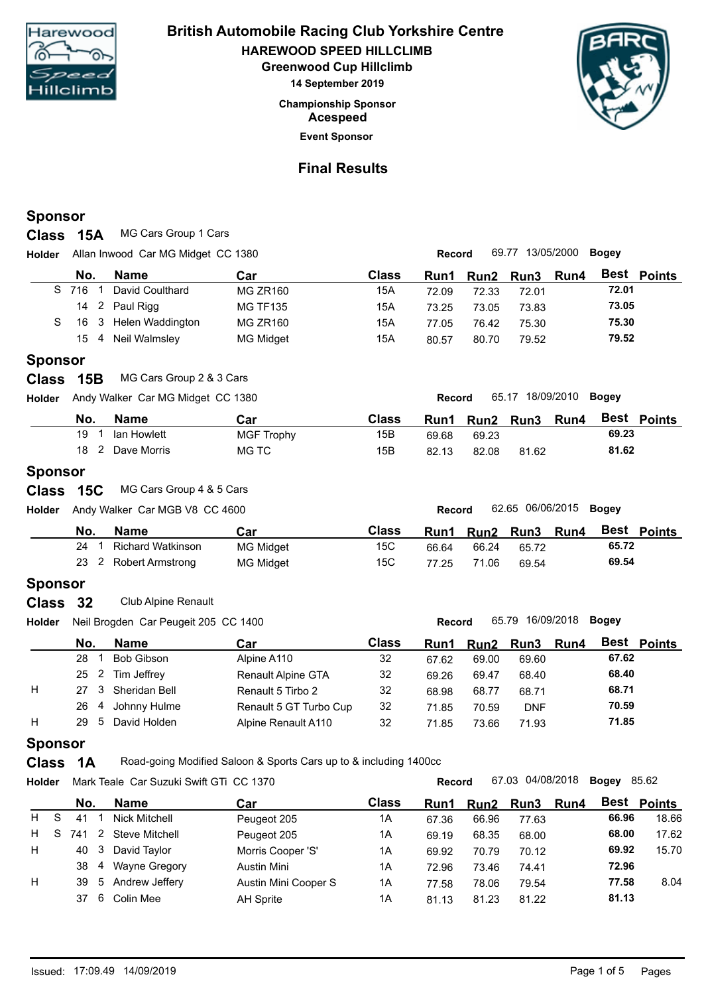

**Championship Sponsor HAREWOOD SPEED HILLCLIMB British Automobile Racing Club Yorkshire Centre Greenwood Cup Hillclimb 14 September 2019 Acespeed**



## **Final Results**

**Event Sponsor**

#### **Sponsor**

**Class 15A** MG Cars Group 1 Cars

**Holder Record** 69.77 13/05/2000 **Bogey** Allan Inwood Car MG Midget CC 1380

|    |     | No. | <b>Name</b>           | Car              | Class | Run1  |       | Run2 Run3 Run4 | Best Points |
|----|-----|-----|-----------------------|------------------|-------|-------|-------|----------------|-------------|
| S. | 716 |     | David Coulthard       | <b>MG ZR160</b>  | 15A   | 72.09 | 72.33 | 72.01          | 72.01       |
|    |     |     | 14 2 Paul Rigg        | <b>MG TF135</b>  | 15A   | 73.25 | 73.05 | 73.83          | 73.05       |
|    |     |     | 16 3 Helen Waddington | <b>MG ZR160</b>  | 15A   | 77.05 | 76.42 | 75.30          | 75.30       |
|    |     |     | 15 4 Neil Walmsley    | <b>MG Midget</b> | 15A   | 80.57 | 80.70 | 79.52          | 79.52       |
|    |     |     |                       |                  |       |       |       |                |             |

#### **Sponsor**

**Class 15B** MG Cars Group 2 & 3 Cars

**Holder Record** 65.17 18/09/2010 **Bogey** Andy Walker Car MG Midget CC 1380

| No.<br><b>Name</b> | Car        | Class | Run1  | Run <sub>2</sub> | <b>Run3</b> | Run4 | <b>Best</b><br><b>Points</b> |
|--------------------|------------|-------|-------|------------------|-------------|------|------------------------------|
| 19<br>lan Howlett  | MGF Trophy | 15B   | 69.68 | 69.23            |             |      | 69.23                        |
| 18<br>Dave Morris  | MG TC      | 15B   | 82.13 | 82.08            | 81.62       |      | 81.62                        |

#### **Sponsor**

|  |  | Class 15C MG Cars Group 4 & 5 Cars |
|--|--|------------------------------------|
|--|--|------------------------------------|

**Holder Record** 62.65 06/06/2015 **Bogey** Andy Walker Car MGB V8 CC 4600

| No. | Name                    | Car              | Class | Run1  | <b>Run2</b> | <b>Run3</b> | Run4 | <b>Best</b><br><b>Points</b> |
|-----|-------------------------|------------------|-------|-------|-------------|-------------|------|------------------------------|
| 24  | Richard Watkinson       | <b>MG Midget</b> | 15C   | 66.64 | 66.24       | 65.72       |      | 65.72                        |
| 23  | <b>Robert Armstrong</b> | <b>MG Midget</b> | 15C   | 77.25 | 71.06       | 69.54       |      | 69.54                        |
|     |                         |                  |       |       |             |             |      |                              |

### **Sponsor**

**Class** Club Alpine Renault **32**

**Holder Record** 65.79 16/09/2018 **Bogey** Neil Brogden Car Peugeit 205 CC 1400

|   | No.       | Name          | Car                    | Class | Run1  |       | Run2 Run3  | Run4 | <b>Best Points</b> |  |
|---|-----------|---------------|------------------------|-------|-------|-------|------------|------|--------------------|--|
|   | 28        | Bob Gibson    | Alpine A110            | 32    | 67.62 | 69.00 | 69.60      |      | 67.62              |  |
|   | 25 2      | Tim Jeffrey   | Renault Alpine GTA     | 32    | 69.26 | 69.47 | 68.40      |      | 68.40              |  |
| H | - 3<br>27 | Sheridan Bell | Renault 5 Tirbo 2      | 32    | 68.98 | 68.77 | 68.71      |      | 68.71              |  |
|   | 26<br>4   | Johnny Hulme  | Renault 5 GT Turbo Cup | 32    | 71.85 | 70.59 | <b>DNF</b> |      | 70.59              |  |
| H | 29<br>5   | David Holden  | Alpine Renault A110    | 32    | 71.85 | 73.66 | 71.93      |      | 71.85              |  |
|   |           |               |                        |       |       |       |            |      |                    |  |

#### **Sponsor**

**Class 1A** Road-going Modified Saloon & Sports Cars up to & including 1400cc

**Holder Record** 67.03 04/08/2018 **Bogey** Mark Teale Car Suzuki Swift GTi CC 1370 **No. Name Car Car Class Run1 Run2 Run3 Run4** 67.03 04/08/2018 Bogey 85.62 **Best Points Car** H S 41 1 Nick Mitchell Peugeot 205 1A 67.36 66.96 77.63 **66.96** 18.66 H S 741 2 Steve Mitchell Peugeot 205 1A 69.19 68.35 68.00 **68.00** 17.62 H 40 3 David Taylor Morris Cooper 'S' 1A 69.92 70.79 70.12 **69.92** 15.70 38 4 Wayne Gregory Austin Mini 1A 72.96 73.46 74.41 **72.96** H 39 5 Andrew Jeffery Austin Mini Cooper S 1A 77.58 78.06 79.54 **77.58** 8.04 37 6 Colin Mee AH Sprite 1A 81.13 81.23 81.22 **81.13**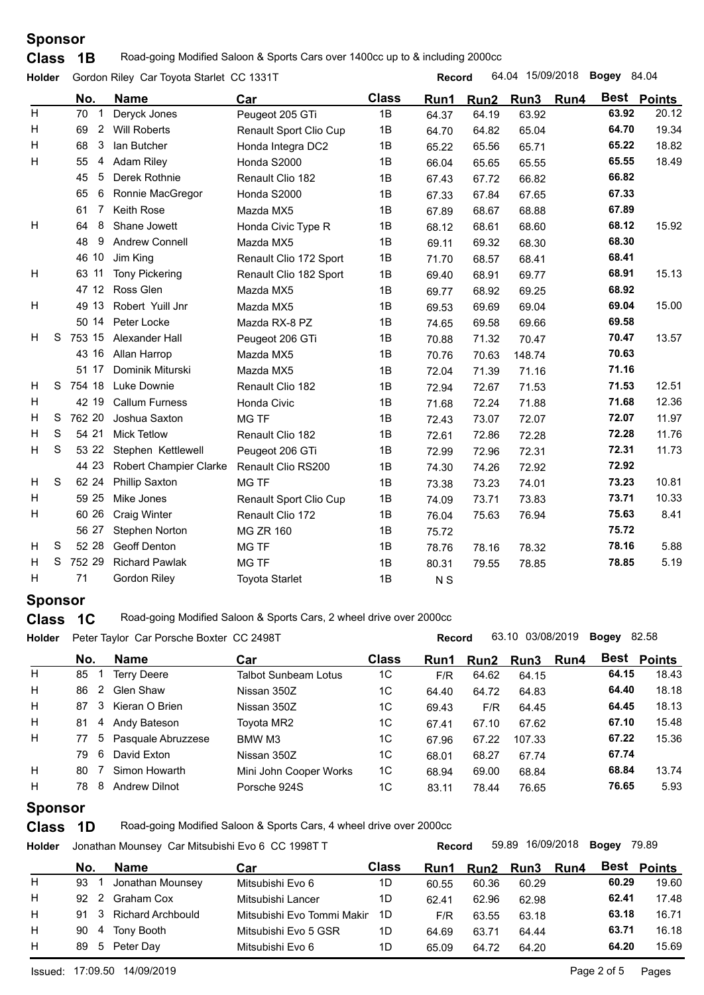**Class** 1B Road-going Modified Saloon & Sports Cars over 1400cc up to & including 2000cc

|         |                                                                                                                                      | 64.04 15/09/2018<br><b>Bogey</b> 84.04<br>Record                                                            |                                          |                |                  |        |  |              |                                                                                                                                                                                                                                                 |
|---------|--------------------------------------------------------------------------------------------------------------------------------------|-------------------------------------------------------------------------------------------------------------|------------------------------------------|----------------|------------------|--------|--|--------------|-------------------------------------------------------------------------------------------------------------------------------------------------------------------------------------------------------------------------------------------------|
| No.     | <b>Name</b>                                                                                                                          | Car                                                                                                         | <b>Class</b>                             | Run1           | Run <sub>2</sub> |        |  |              | Best Points                                                                                                                                                                                                                                     |
| 70      | Deryck Jones                                                                                                                         | Peugeot 205 GTi                                                                                             | 1B                                       | 64.37          | 64.19            | 63.92  |  |              | 20.12                                                                                                                                                                                                                                           |
| 69      | <b>Will Roberts</b>                                                                                                                  | Renault Sport Clio Cup                                                                                      | 1B                                       | 64.70          | 64.82            | 65.04  |  |              | 19.34                                                                                                                                                                                                                                           |
| 68      | lan Butcher                                                                                                                          | Honda Integra DC2                                                                                           | 1B                                       | 65.22          | 65.56            | 65.71  |  |              | 18.82                                                                                                                                                                                                                                           |
| 55<br>4 | <b>Adam Riley</b>                                                                                                                    | Honda S2000                                                                                                 | 1B                                       | 66.04          | 65.65            | 65.55  |  |              | 18.49                                                                                                                                                                                                                                           |
| 5<br>45 | Derek Rothnie                                                                                                                        | Renault Clio 182                                                                                            | 1B                                       | 67.43          | 67.72            | 66.82  |  |              |                                                                                                                                                                                                                                                 |
| 6<br>65 | Ronnie MacGregor                                                                                                                     | Honda S2000                                                                                                 | 1B                                       | 67.33          | 67.84            | 67.65  |  |              |                                                                                                                                                                                                                                                 |
| 7<br>61 | Keith Rose                                                                                                                           | Mazda MX5                                                                                                   | 1B                                       | 67.89          | 68.67            | 68.88  |  |              |                                                                                                                                                                                                                                                 |
| 8<br>64 | Shane Jowett                                                                                                                         | Honda Civic Type R                                                                                          | 1B                                       | 68.12          | 68.61            | 68.60  |  |              | 15.92                                                                                                                                                                                                                                           |
| 48<br>9 | <b>Andrew Connell</b>                                                                                                                | Mazda MX5                                                                                                   | 1B                                       | 69.11          | 69.32            | 68.30  |  |              |                                                                                                                                                                                                                                                 |
|         | Jim King                                                                                                                             | Renault Clio 172 Sport                                                                                      | 1B                                       | 71.70          | 68.57            | 68.41  |  | 68.41        |                                                                                                                                                                                                                                                 |
| 63 11   | <b>Tony Pickering</b>                                                                                                                | Renault Clio 182 Sport                                                                                      | 1B                                       | 69.40          | 68.91            | 69.77  |  | 68.91        | 15.13                                                                                                                                                                                                                                           |
|         | Ross Glen                                                                                                                            | Mazda MX5                                                                                                   | 1B                                       | 69.77          | 68.92            | 69.25  |  |              |                                                                                                                                                                                                                                                 |
| 49 13   | Robert Yuill Jnr                                                                                                                     | Mazda MX5                                                                                                   | 1B                                       | 69.53          | 69.69            | 69.04  |  |              | 15.00                                                                                                                                                                                                                                           |
|         | Peter Locke                                                                                                                          | Mazda RX-8 PZ                                                                                               | 1B                                       | 74.65          | 69.58            | 69.66  |  |              |                                                                                                                                                                                                                                                 |
|         | Alexander Hall                                                                                                                       | Peugeot 206 GTi                                                                                             | 1B                                       | 70.88          | 71.32            | 70.47  |  |              | 13.57                                                                                                                                                                                                                                           |
|         | Allan Harrop                                                                                                                         | Mazda MX5                                                                                                   | 1B                                       | 70.76          | 70.63            | 148.74 |  |              |                                                                                                                                                                                                                                                 |
|         | Dominik Miturski                                                                                                                     | Mazda MX5                                                                                                   | 1B                                       | 72.04          | 71.39            | 71.16  |  |              |                                                                                                                                                                                                                                                 |
|         | <b>Luke Downie</b>                                                                                                                   | Renault Clio 182                                                                                            | 1B                                       | 72.94          | 72.67            | 71.53  |  |              | 12.51                                                                                                                                                                                                                                           |
|         | <b>Callum Furness</b>                                                                                                                | Honda Civic                                                                                                 | 1B                                       | 71.68          | 72.24            | 71.88  |  |              | 12.36                                                                                                                                                                                                                                           |
|         | Joshua Saxton                                                                                                                        | <b>MG TF</b>                                                                                                | 1B                                       | 72.43          | 73.07            | 72.07  |  |              | 11.97                                                                                                                                                                                                                                           |
|         | <b>Mick Tetlow</b>                                                                                                                   | Renault Clio 182                                                                                            | 1B                                       | 72.61          | 72.86            | 72.28  |  |              | 11.76                                                                                                                                                                                                                                           |
|         | Stephen Kettlewell                                                                                                                   | Peugeot 206 GTi                                                                                             | 1B                                       | 72.99          | 72.96            | 72.31  |  |              | 11.73                                                                                                                                                                                                                                           |
|         | <b>Robert Champier Clarke</b>                                                                                                        | Renault Clio RS200                                                                                          | 1B                                       | 74.30          | 74.26            | 72.92  |  |              |                                                                                                                                                                                                                                                 |
|         | <b>Phillip Saxton</b>                                                                                                                | MG TF                                                                                                       | 1B                                       | 73.38          | 73.23            | 74.01  |  |              | 10.81                                                                                                                                                                                                                                           |
|         | Mike Jones                                                                                                                           | Renault Sport Clio Cup                                                                                      | 1B                                       | 74.09          | 73.71            | 73.83  |  |              | 10.33                                                                                                                                                                                                                                           |
|         | <b>Craig Winter</b>                                                                                                                  | Renault Clio 172                                                                                            | 1B                                       | 76.04          | 75.63            | 76.94  |  |              | 8.41                                                                                                                                                                                                                                            |
|         | <b>Stephen Norton</b>                                                                                                                | <b>MG ZR 160</b>                                                                                            | 1B                                       | 75.72          |                  |        |  |              |                                                                                                                                                                                                                                                 |
|         | <b>Geoff Denton</b>                                                                                                                  | MG TF                                                                                                       | 1B                                       | 78.76          | 78.16            | 78.32  |  |              | 5.88                                                                                                                                                                                                                                            |
|         | <b>Richard Pawlak</b>                                                                                                                | <b>MG TF</b>                                                                                                | 1B                                       | 80.31          | 79.55            | 78.85  |  |              | 5.19                                                                                                                                                                                                                                            |
| 71      | <b>Gordon Riley</b>                                                                                                                  | <b>Toyota Starlet</b>                                                                                       | 1B                                       | N <sub>S</sub> |                  |        |  |              |                                                                                                                                                                                                                                                 |
|         | Holder<br>3<br>46 10<br>S<br>S 754 18<br>42 19<br>S<br>S<br>54 21<br>S<br>53 22<br><sub>S</sub><br>59 25<br>60 26<br>S<br>52 28<br>S | $\overline{2}$<br>47 12<br>50 14<br>753 15<br>43 16<br>51 17<br>762 20<br>44 23<br>62 24<br>56 27<br>752 29 | Gordon Riley Car Toyota Starlet CC 1331T |                |                  |        |  | Run3<br>Run4 | 63.92<br>64.70<br>65.22<br>65.55<br>66.82<br>67.33<br>67.89<br>68.12<br>68.30<br>68.92<br>69.04<br>69.58<br>70.47<br>70.63<br>71.16<br>71.53<br>71.68<br>72.07<br>72.28<br>72.31<br>72.92<br>73.23<br>73.71<br>75.63<br>75.72<br>78.16<br>78.85 |

## **Sponsor**

**Class 1C** Road-going Modified Saloon & Sports Cars, 2 wheel drive over 2000cc

**Holder Record** 63.10 03/08/2019 **Bogey** Peter Taylor Car Porsche Boxter CC 2498T **No. Name Class Run1 Run2 Run3 Best Points Bogey** 82.58 **Run4** Best Points **Car** H 85 1 Terry Deere Talbot Sunbeam Lotus 1C F/R 64.62 64.15 **64.15** 18.43 H 86 2 Glen Shaw Nissan 350Z 1C 64.40 64.72 64.83 **64.40** 18.18 H 87 3 Kieran O Brien Nissan 350Z 1C 69.43 F/R 64.45 **64.45** 18.13 H 81 4 Andy Bateson Toyota MR2 1C 67.41 67.10 67.62 **67.10** 15.48 H 77 5 Pasquale Abruzzese BMW M3 1C 67.96 67.22 107.33 **67.22** 15.36 79 6 David Exton Nissan 350Z 1C 68.01 68.27 67.74 **67.74** H 80 7 Simon Howarth Mini John Cooper Works 1C 68.94 69.00 68.84 **68.84** 13.74 H 78 8 Andrew Dilnot Porsche 924S 1C 83.11 78.44 76.65 **76.65** 5.93

## **Sponsor**

**Class 1D** Road-going Modified Saloon & Sports Cars, 4 wheel drive over 2000cc

**Holder Record** 59.89 16/09/2018 **Bogey** Jonathan Mounsey Car Mitsubishi Evo 6 CC 1998T T **No. Name Class Run1 Run2 Run3 Best Points Bogey 79.89 Run4** Best Points **Car** H 93 1 Jonathan Mounsey Mitsubishi Evo 6 1D 60.55 60.36 60.29 **60.29** 19.60 H 92 2 Graham Cox Mitsubishi Lancer 1D 62.41 62.96 62.98 **62.41** 17.48 H 91 3 Richard Archbould Mitsubishi Evo Tommi Makir 1D F/R 63.55 63.18 63.18 **63.18** 16.71 H 90 4 Tony Booth Mitsubishi Evo 5 GSR 1D 64.69 63.71 64.44 **63.71** 16.18 H 89 5 Peter Day Mitsubishi Evo 6 1D 65.09 64.72 64.20 **64.20** 15.69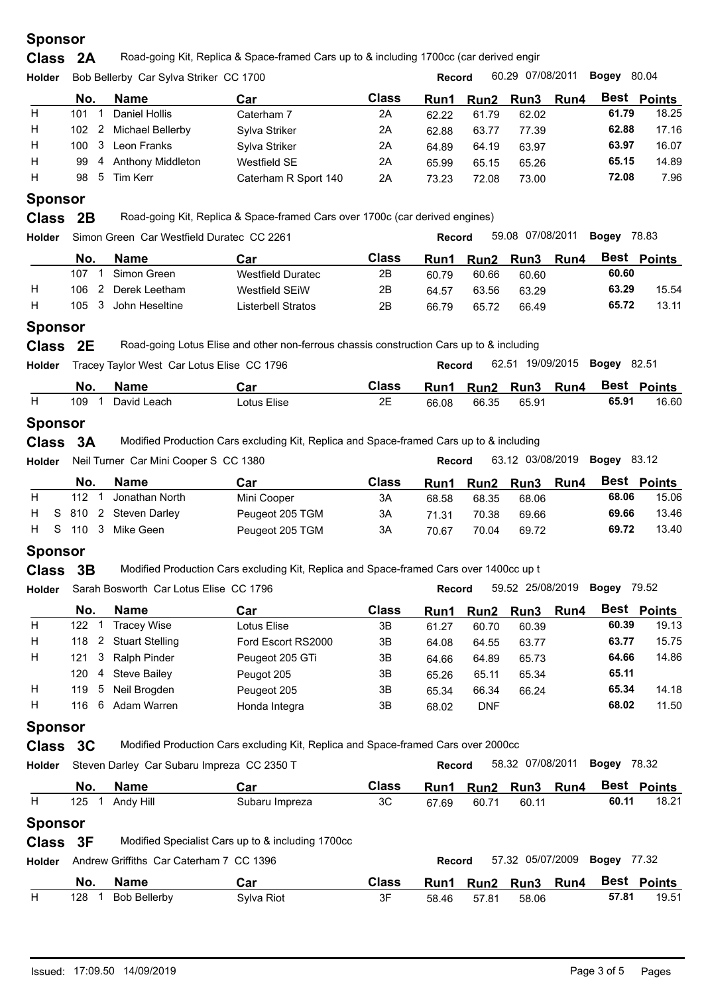**Class** 2A Road-going Kit, Replica & Space-framed Cars up to & including 1700cc (car derived engir

| <b>Holder</b> | 60.29 07/08/2011<br>Bogey<br>Bob Bellerby Car Sylva Striker CC 1700<br><b>Record</b> |   |                          |                      |              |             |       | 80.04          |       |             |
|---------------|--------------------------------------------------------------------------------------|---|--------------------------|----------------------|--------------|-------------|-------|----------------|-------|-------------|
|               | No.                                                                                  |   | <b>Name</b>              | Car                  | <b>Class</b> | <b>Run1</b> |       | Run2 Run3 Run4 |       | Best Points |
| H             | 101                                                                                  |   | Daniel Hollis            | Caterham 7           | 2A           | 62.22       | 61.79 | 62.02          | 61.79 | 18.25       |
| H             | $102 \quad 2$                                                                        |   | Michael Bellerby         | Sylva Striker        | 2Α           | 62.88       | 63.77 | 77.39          | 62.88 | 17.16       |
| H             | 100 3                                                                                |   | Leon Franks              | Sylva Striker        | 2Α           | 64.89       | 64.19 | 63.97          | 63.97 | 16.07       |
| H             | 99                                                                                   | 4 | <b>Anthony Middleton</b> | Westfield SE         | 2Α           | 65.99       | 65.15 | 65.26          | 65.15 | 14.89       |
| H             |                                                                                      |   | 98 5 Tim Kerr            | Caterham R Sport 140 | 2A           | 73.23       | 72.08 | 73.00          | 72.08 | 7.96        |
|               |                                                                                      |   |                          |                      |              |             |       |                |       |             |

## **Sponsor**

**Class** 2B Road-going Kit, Replica & Space-framed Cars over 1700c (car derived engines)

| <b>Holder</b> |           | Simon Green Car Westfield Duratec CC 2261 |                    |       | 59.08 07/08/2011<br><b>Record</b> |       |           |             | Bogev | 78.83              |
|---------------|-----------|-------------------------------------------|--------------------|-------|-----------------------------------|-------|-----------|-------------|-------|--------------------|
|               | No.       | Name                                      | Car                | Class | Run1                              |       | Run2 Run3 | <b>Run4</b> |       | <b>Best Points</b> |
|               | 107       | Simon Green                               | Westfield Duratec  | 2Β    | 60.79                             | 60.66 | 60.60     |             | 60.60 |                    |
| H             | 106       | Derek Leetham                             | Westfield SEiW     | 2B    | 64.57                             | 63.56 | 63.29     |             | 63.29 | 15.54              |
| н             | 105<br>-3 | John Heseltine                            | Listerbell Stratos | 2Β    | 66.79                             | 65.72 | 66.49     |             | 65.72 | 13.11              |
|               |           |                                           |                    |       |                                   |       |           |             |       |                    |

### **Sponsor**

**Class** 2E Road-going Lotus Elise and other non-ferrous chassis construction Cars up to & including

| No.<br><b>Name</b> | Car         | Class                                      |       |       |        |       | Best Points                                                |
|--------------------|-------------|--------------------------------------------|-------|-------|--------|-------|------------------------------------------------------------|
| 109<br>David Leach | Lotus Elise | 2E                                         | 66.08 | 66.35 | 65.91  | 65.91 | 16.60                                                      |
|                    | Holder      | Tracey Taylor West Car Lotus Elise CC 1796 |       |       | Record |       | 62.51 19/09/2015 <b>Bogey</b> 82.51<br>Run1 Run2 Run3 Run4 |

## **Sponsor**

**Class 3A** Modified Production Cars excluding Kit, Replica and Space-framed Cars up to & including

| 03/08/2019<br>83.12<br>63.12<br><b>Bogey</b><br>1380<br>ier  Car Mini Cooper S  CC<br>Neil Tu<br><b>Holder</b><br>Turner<br>Record |
|------------------------------------------------------------------------------------------------------------------------------------|
|------------------------------------------------------------------------------------------------------------------------------------|

|     | <b>Name</b>      | Car                     | Class | Run1  | Run2  | <b>Run3</b> | Run4 | Best  | Points |
|-----|------------------|-------------------------|-------|-------|-------|-------------|------|-------|--------|
| 112 | Jonathan North   | Mini Cooper             | 3A    | 68.58 | 68.35 | 68.06       |      | 68.06 | 15.06  |
|     |                  | Peugeot 205 TGM         | ЗΑ    | 71.31 | 70.38 | 69.66       |      | 69.66 | 13.46  |
|     | Mike Geen        | Peugeot 205 TGM         | 3A    | 70.67 | 70.04 | 69.72       |      | 69.72 | 13.40  |
|     | No.<br>H S 110 3 | H S 810 2 Steven Darley |       |       |       |             |      |       |        |

### **Sponsor**

**Class** 3B Modified Production Cars excluding Kit, Replica and Space-framed Cars over 1400cc up t

| <b>Holder</b> |            | Sarah Bosworth Car Lotus Elise CC 1796 |                    |              | <b>Record</b> |            | 59.52 25/08/2019 |      | Bogey | 79.52              |  |  |
|---------------|------------|----------------------------------------|--------------------|--------------|---------------|------------|------------------|------|-------|--------------------|--|--|
|               | No.        | Name                                   | Car                | <b>Class</b> | Run1          |            | Run2 Run3        | Run4 |       | <b>Best Points</b> |  |  |
| H             | 122        | <b>Tracev Wise</b>                     | Lotus Elise        | 3B           | 61.27         | 60.70      | 60.39            |      | 60.39 | 19.13              |  |  |
| H             | 118 2      | <b>Stuart Stelling</b>                 | Ford Escort RS2000 | 3B           | 64.08         | 64.55      | 63.77            |      | 63.77 | 15.75              |  |  |
| H             | 121 3      | Ralph Pinder                           | Peugeot 205 GTi    | 3B           | 64.66         | 64.89      | 65.73            |      | 64.66 | 14.86              |  |  |
|               | 120<br>-4  | <b>Steve Bailev</b>                    | Peugot 205         | 3B           | 65.26         | 65.11      | 65.34            |      | 65.11 |                    |  |  |
| H             | 119<br>- 5 | Neil Brogden                           | Peugeot 205        | 3B           | 65.34         | 66.34      | 66.24            |      | 65.34 | 14.18              |  |  |
| H             | -6<br>116  | Adam Warren                            | Honda Integra      | 3B           | 68.02         | <b>DNF</b> |                  |      | 68.02 | 11.50              |  |  |
|               |            |                                        |                    |              |               |            |                  |      |       |                    |  |  |

## **Sponsor**

**Class** 3C Modified Production Cars excluding Kit, Replica and Space-framed Cars over 2000cc

**Holder Record** 58.32 07/08/2011 **Bogey** Steven Darley Car Subaru Impreza CC 2350 T Record 58.32 07/08/2011 Bogey 78.32

|                | No. | Name      | Car            | <b>Class</b> | Run1  | Run2  | <b>Run3</b> | Run4 | Best  | Points |
|----------------|-----|-----------|----------------|--------------|-------|-------|-------------|------|-------|--------|
|                | 125 | Andy Hill | Subaru Impreza | 3C           | 67.69 | 60.71 | 60.11       |      | 60.11 | 18.21  |
| <b>Sponsor</b> |     |           |                |              |       |       |             |      |       |        |

**Class** 3F Modified Specialist Cars up to & including 1700cc

| <b>Holder</b> |     | Andrew Griffiths Car Caterham 7 CC 1396 |            |              | Record |       | 57.32 05/07/2009 <b>Bogey</b> 77.32 |       |               |
|---------------|-----|-----------------------------------------|------------|--------------|--------|-------|-------------------------------------|-------|---------------|
|               | No. | <b>Name</b>                             | Car        | <b>Class</b> | Run1   |       | Run2 Run3 Run4                      |       | . Best Points |
|               | 128 | Bob Bellerby                            | Sylva Riot | 3F           | 58.46  | 57.81 | 58.06                               | 57.81 | 19.51         |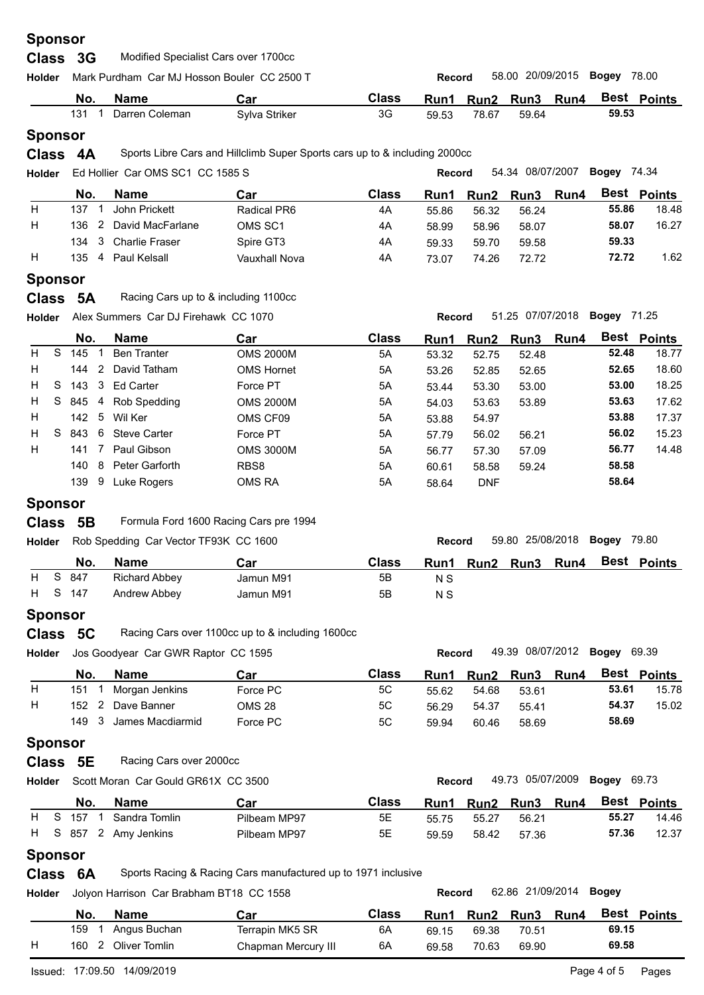| <b>Holder</b>  |          | Mark Purdham Car MJ Hosson Bouler CC 2500 T |                                                                            |              | <b>Record</b> |                  | 58.00 20/09/2015 |      | Bogey              | 78.00       |
|----------------|----------|---------------------------------------------|----------------------------------------------------------------------------|--------------|---------------|------------------|------------------|------|--------------------|-------------|
|                |          |                                             |                                                                            |              |               |                  |                  |      |                    |             |
|                | No.      | <b>Name</b>                                 | Car                                                                        | <b>Class</b> | Run1          | Run <sub>2</sub> | Run3             | Run4 |                    | Best Points |
|                | 131      | Darren Coleman                              | Sylva Striker                                                              | 3G           | 59.53         | 78.67            | 59.64            |      | 59.53              |             |
| <b>Sponsor</b> |          |                                             |                                                                            |              |               |                  |                  |      |                    |             |
| <b>Class</b>   | 4A       |                                             | Sports Libre Cars and Hillclimb Super Sports cars up to & including 2000cc |              |               |                  |                  |      |                    |             |
| Holder         |          | Ed Hollier Car OMS SC1 CC 1585 S            |                                                                            |              | Record        |                  | 54.34 08/07/2007 |      | <b>Bogey 74.34</b> |             |
|                | No.      | <b>Name</b>                                 | Car                                                                        | <b>Class</b> | Run1          | Run <sub>2</sub> | Run3             | Run4 |                    | Best Points |
| H              | 137      | John Prickett                               | <b>Radical PR6</b>                                                         | 4A           | 55.86         | 56.32            | 56.24            |      | 55.86              | 18.48       |
|                | 136<br>2 | David MacFarlane                            | OMS SC1                                                                    | 4A           | 58.99         | 58.96            | 58.07            |      | 58.07              | 16.27       |
|                | 3<br>134 | <b>Charlie Fraser</b>                       | Spire GT3                                                                  | 4A           | 59.33         | 59.70            | 59.58            |      | 59.33              |             |
|                |          |                                             |                                                                            |              |               |                  |                  |      |                    |             |
| H              | 135      | 4 Paul Kelsall                              | <b>Vauxhall Nova</b>                                                       | 4A           | 73.07         | 74.26            | 72.72            |      | 72.72              | 1.62        |
|                |          |                                             |                                                                            |              |               |                  |                  |      |                    |             |
| <b>Sponsor</b> | Class 5A | Racing Cars up to & including 1100cc        |                                                                            |              |               |                  |                  |      |                    |             |
| <b>Holder</b>  |          | Alex Summers Car DJ Firehawk CC 1070        |                                                                            |              | <b>Record</b> |                  | 51.25 07/07/2018 |      | <b>Bogey 71.25</b> |             |

|   |     | No.   |                | <b>Name</b>          | Car               | <b>Class</b> | Run1  | <b>Run2</b> | Run3  | Run4 |       | <b>Best Points</b> |
|---|-----|-------|----------------|----------------------|-------------------|--------------|-------|-------------|-------|------|-------|--------------------|
|   | H S | 145   |                | <b>Ben Tranter</b>   | <b>OMS 2000M</b>  | 5A           | 53.32 | 52.75       | 52.48 |      | 52.48 | 18.77              |
| H |     | 144   | $\overline{2}$ | David Tatham         | <b>OMS Hornet</b> | 5A           | 53.26 | 52.85       | 52.65 |      | 52.65 | 18.60              |
|   | H S | 143 3 |                | <b>Ed Carter</b>     | Force PT          | 5A           | 53.44 | 53.30       | 53.00 |      | 53.00 | 18.25              |
| H |     |       |                | S 845 4 Rob Spedding | <b>OMS 2000M</b>  | 5A           | 54.03 | 53.63       | 53.89 |      | 53.63 | 17.62              |
| H |     | 142 5 |                | Wil Ker              | OMS CF09          | 5A           | 53.88 | 54.97       |       |      | 53.88 | 17.37              |
| H | S.  | 843   | - 6            | <b>Steve Carter</b>  | Force PT          | 5A           | 57.79 | 56.02       | 56.21 |      | 56.02 | 15.23              |
| H |     | 141   |                | Paul Gibson          | <b>OMS 3000M</b>  | 5A           | 56.77 | 57.30       | 57.09 |      | 56.77 | 14.48              |
|   |     | 140   | 8              | Peter Garforth       | RBS8              | 5A           | 60.61 | 58.58       | 59.24 |      | 58.58 |                    |
|   |     | 139   | 9              | Luke Rogers          | OMS RA            | 5A           | 58.64 | <b>DNF</b>  |       |      | 58.64 |                    |

| Class 5B |  | Formula Ford 1600 Racing Cars pre 1994 |
|----------|--|----------------------------------------|
|----------|--|----------------------------------------|

| Holder |         | Rob Spedding Car Vector TF93K CC 1600 |           |              | <b>Record</b> |           | 59.80 25/08/2018 <b>Bogey</b> 79.80 |      |                    |
|--------|---------|---------------------------------------|-----------|--------------|---------------|-----------|-------------------------------------|------|--------------------|
|        | No.     | <b>Name</b>                           | Car       | <b>Class</b> | Run1          | Run2 Run3 |                                     | Run4 | <b>Best Points</b> |
|        | H S 847 | <b>Richard Abbey</b>                  | Jamun M91 | 5Β           | N S           |           |                                     |      |                    |
|        | H S 147 | Andrew Abbey                          | Jamun M91 | 5B           | N S           |           |                                     |      |                    |
|        |         |                                       |           |              |               |           |                                     |      |                    |

# **Sponsor**

| Class 5C |  | Racing Cars over 1100cc up to & including 1600cc |
|----------|--|--------------------------------------------------|
|----------|--|--------------------------------------------------|

| <b>Holder</b> |       | Jos Goodyear Car GWR Raptor CC 1595 |          |       | <b>Record</b> |           | 49.39 08/07/2012 <b>Bogey</b> |             |       | 69.39       |
|---------------|-------|-------------------------------------|----------|-------|---------------|-----------|-------------------------------|-------------|-------|-------------|
|               | No.   | Name                                | Car      | Class | Run1          | Run2 Run3 |                               | <b>Run4</b> |       | Best Points |
| H             | 151   | Morgan Jenkins                      | Force PC | 5C    | 55.62         | 54.68     | 53.61                         |             | 53.61 | 15.78       |
| H             | 152   | Dave Banner                         | OMS 28   | 5C    | 56.29         | 54.37     | 55.41                         |             | 54.37 | 15.02       |
|               | 149 3 | James Macdiarmid                    | Force PC | 5C    | 59.94         | 60.46     | 58.69                         |             | 58.69 |             |

# **Sponsor**

## **Class** 5E Racing Cars over 2000cc

```
Holder Record 49.73 05/07/2009 Bogey
Scott Moran Car Gould GR61X CC 3500
```

|  | No.     | Name                  | Car          | Class | Run1  | Run2 Run3 |       | <b>Run4</b> | Best  | Points |
|--|---------|-----------------------|--------------|-------|-------|-----------|-------|-------------|-------|--------|
|  | H S 157 | Sandra Tomlin         | Pilbeam MP97 | 5Е    | 55.75 | 55.27     | 56.21 |             | 55.27 | 14.46  |
|  |         | H S 857 2 Amy Jenkins | Pilbeam MP97 | 5Е    | 59.59 | 58.42     | 57.36 |             | 57.36 | 12.37  |
|  |         |                       |              |       |       |           |       |             |       |        |

# **Sponsor**

**Class 6A** Sports Racing & Racing Cars manufactured up to 1971 inclusive

**Holder Record** 62.86 21/09/2014 **Bogey** Jolyon Harrison Car Brabham BT18 CC 1558

|   | No. | Name          | Car                 | Class | Run1  | Run2  | Run3  | Run4 | Best  | <b>Points</b> |
|---|-----|---------------|---------------------|-------|-------|-------|-------|------|-------|---------------|
|   | 159 | Angus Buchan  | Terrapin MK5 SR     | 6A    | 69.15 | 69.38 | 70.51 |      | 69.15 |               |
| Н | 160 | Dliver Tomlin | Chapman Mercury III | 6A    | 69.58 | 70.63 | 69.90 |      | 69.58 |               |

49.73 05/07/2009 Bogey 69.73